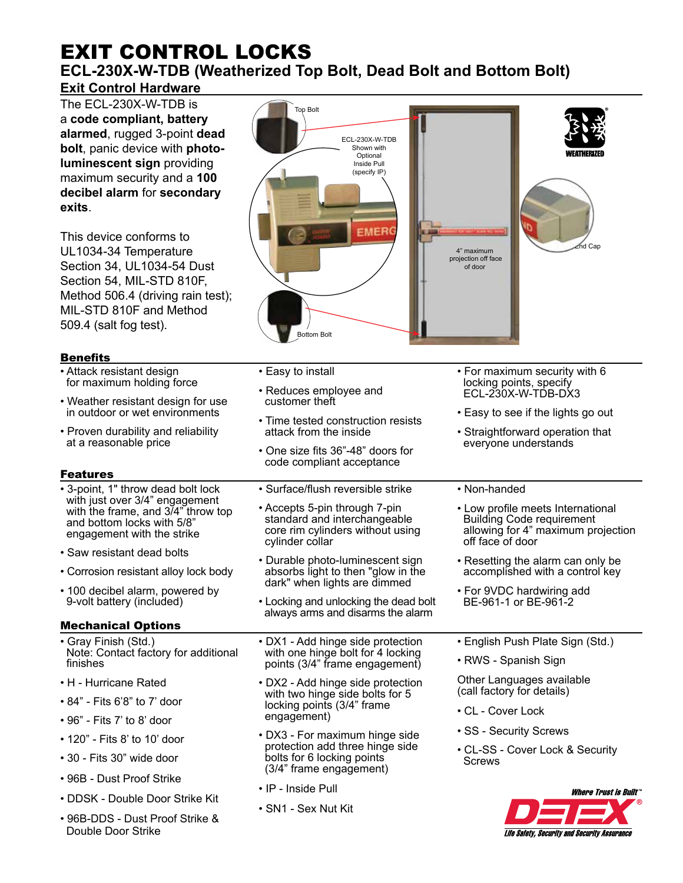# EXIT CONTROL LOCKS **ECL-230X-W-TDB (Weatherized Top Bolt, Dead Bolt and Bottom Bolt)**

## **Exit Control Hardware**

The ECL-230X-W-TDB is a **code compliant, battery alarmed**, rugged 3-point **dead bolt**, panic device with **photoluminescent sign** providing maximum security and a **100 decibel alarm** for **secondary exits**.

This device conforms to UL1034-34 Temperature Section 34, UL1034-54 Dust Section 54, MIL-STD 810F, Method 506.4 (driving rain test); MIL-STD 810F and Method 509.4 (salt fog test).

### Benefits

- Attack resistant design for maximum holding force
- Weather resistant design for use in outdoor or wet environments
- Proven durability and reliability at a reasonable price

## Features

- 3-point, 1" throw dead bolt lock with just over 3/4" engagement with the frame, and 3/4" throw top and bottom locks with 5/8" engagement with the strike
- Saw resistant dead bolts
- Corrosion resistant alloy lock body
- 100 decibel alarm, powered by 9-volt battery (included)

## Mechanical Options

- Gray Finish (Std.) Note: Contact factory for additional finishes
- H Hurricane Rated
- 84" Fits 6'8" to 7' door
- 96" Fits 7' to 8' door
- 120" Fits 8' to 10' door
- 30 Fits 30" wide door
- 96B Dust Proof Strike
- DDSK Double Door Strike Kit
- 96B-DDS Dust Proof Strike & Double Door Strike



- Easy to install
- Reduces employee and customer theft
- Time tested construction resists attack from the inside
- One size fits 36"-48" doors for code compliant acceptance
- Surface/flush reversible strike
- Accepts 5-pin through 7-pin standard and interchangeable core rim cylinders without using cylinder collar
- Durable photo-luminescent sign absorbs light to then "glow in the dark" when lights are dimmed
- Locking and unlocking the dead bolt always arms and disarms the alarm
- DX1 Add hinge side protection with one hinge bolt for 4 locking points (3/4" frame engagement)
- DX2 Add hinge side protection with two hinge side bolts for 5 locking points (3/4" frame engagement)
- DX3 For maximum hinge side protection add three hinge side bolts for 6 locking points (3/4" frame engagement)
- IP Inside Pull
- SN1 Sex Nut Kit
- For maximum security with 6 locking points, specify ECL-230X-W-TDB-DX3
- Easy to see if the lights go out
- Straightforward operation that everyone understands

#### • Non-handed

- Low profile meets International Building Code requirement allowing for 4" maximum projection off face of door
- Resetting the alarm can only be accomplished with a control key
- For 9VDC hardwiring add BE-961-1 or BE-961-2
- English Push Plate Sign (Std.)
- RWS Spanish Sign
- Other Languages available (call factory for details)
- CL Cover Lock
- SS Security Screws
- CL-SS Cover Lock & Security Screws